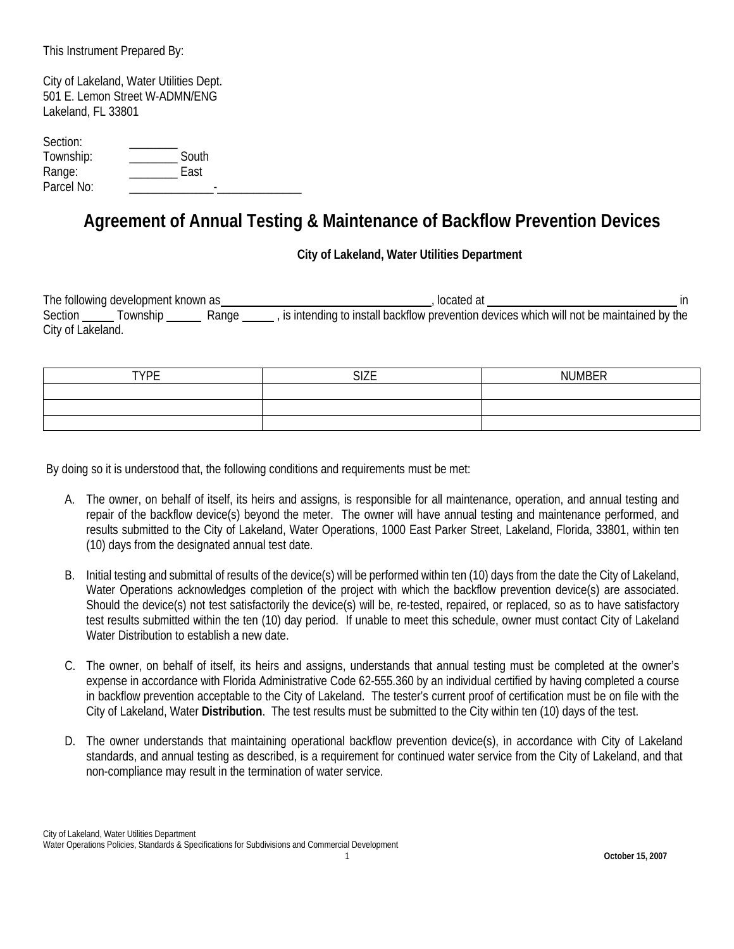This Instrument Prepared By:

City of Lakeland, Water Utilities Dept. 501 E. Lemon Street W-ADMN/ENG Lakeland, FL 33801

| Section:   |       |  |
|------------|-------|--|
| Township:  | South |  |
| Range:     | East  |  |
| Parcel No: |       |  |

## **Agreement of Annual Testing & Maintenance of Backflow Prevention Devices**

**City of Lakeland, Water Utilities Department**

The following development known as source the state of the state of the state of the state of the state of the state of the state of the state of the state of the state of the state of the state of the state of the state o Section <u>Township Section Age Section Commitstonen and the maintained</u> by the Section Section Commitained by the City of Lakeland.

| <b>TVDE</b><br>- | $\sim$ $\sim$ $\sim$ | <b>NI IMRER</b> |
|------------------|----------------------|-----------------|
|                  |                      |                 |
|                  |                      |                 |
|                  |                      |                 |

By doing so it is understood that, the following conditions and requirements must be met:

- A. The owner, on behalf of itself, its heirs and assigns, is responsible for all maintenance, operation, and annual testing and repair of the backflow device(s) beyond the meter. The owner will have annual testing and maintenance performed, and results submitted to the City of Lakeland, Water Operations, 1000 East Parker Street, Lakeland, Florida, 33801, within ten (10) days from the designated annual test date.
- B. Initial testing and submittal of results of the device(s) will be performed within ten (10) days from the date the City of Lakeland, Water Operations acknowledges completion of the project with which the backflow prevention device(s) are associated. Should the device(s) not test satisfactorily the device(s) will be, re-tested, repaired, or replaced, so as to have satisfactory test results submitted within the ten (10) day period. If unable to meet this schedule, owner must contact City of Lakeland Water Distribution to establish a new date.
- C. The owner, on behalf of itself, its heirs and assigns, understands that annual testing must be completed at the owner's expense in accordance with Florida Administrative Code 62-555.360 by an individual certified by having completed a course in backflow prevention acceptable to the City of Lakeland. The tester's current proof of certification must be on file with the City of Lakeland, Water **Distribution**. The test results must be submitted to the City within ten (10) days of the test.
- D. The owner understands that maintaining operational backflow prevention device(s), in accordance with City of Lakeland standards, and annual testing as described, is a requirement for continued water service from the City of Lakeland, and that non-compliance may result in the termination of water service.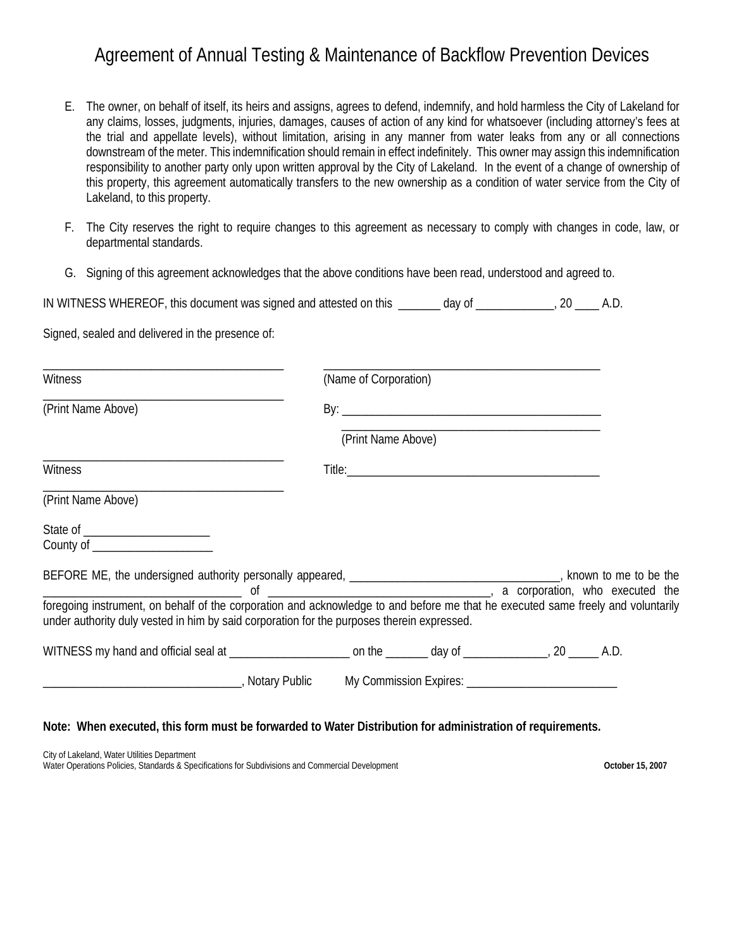## Agreement of Annual Testing & Maintenance of Backflow Prevention Devices

- E. The owner, on behalf of itself, its heirs and assigns, agrees to defend, indemnify, and hold harmless the City of Lakeland for any claims, losses, judgments, injuries, damages, causes of action of any kind for whatsoever (including attorney's fees at the trial and appellate levels), without limitation, arising in any manner from water leaks from any or all connections downstream of the meter. This indemnification should remain in effect indefinitely. This owner may assign this indemnification responsibility to another party only upon written approval by the City of Lakeland. In the event of a change of ownership of this property, this agreement automatically transfers to the new ownership as a condition of water service from the City of Lakeland, to this property.
- F. The City reserves the right to require changes to this agreement as necessary to comply with changes in code, law, or departmental standards.
- G. Signing of this agreement acknowledges that the above conditions have been read, understood and agreed to.

| IN WITNESS WHEREOF, this document was signed and attested on this | dav of |  |  |
|-------------------------------------------------------------------|--------|--|--|
|-------------------------------------------------------------------|--------|--|--|

Signed, sealed and delivered in the presence of:

| <b>Witness</b>                                                                                                       | (Name of Corporation) |  |  |  |  |
|----------------------------------------------------------------------------------------------------------------------|-----------------------|--|--|--|--|
| (Print Name Above)                                                                                                   |                       |  |  |  |  |
|                                                                                                                      | (Print Name Above)    |  |  |  |  |
| Witness                                                                                                              |                       |  |  |  |  |
| (Print Name Above)                                                                                                   |                       |  |  |  |  |
| County of _____________________                                                                                      |                       |  |  |  |  |
| BEFORE ME, the undersigned authority personally appeared, ___________________________________, known to me to be the |                       |  |  |  |  |
| under authority duly vested in him by said corporation for the purposes therein expressed.                           |                       |  |  |  |  |
| WITNESS my hand and official seal at ______________________ on the _______ day of ______________, 20 _____ A.D.      |                       |  |  |  |  |
| <u>_____________________________</u> , Notary Public My Commission Expires: ___________________________________      |                       |  |  |  |  |

## **Note: When executed, this form must be forwarded to Water Distribution for administration of requirements.**

City of Lakeland, Water Utilities Department Water Operations Policies, Standards & Specifications for Subdivisions and Commercial Development **October 15, 2007**<br>
October 15, 2007